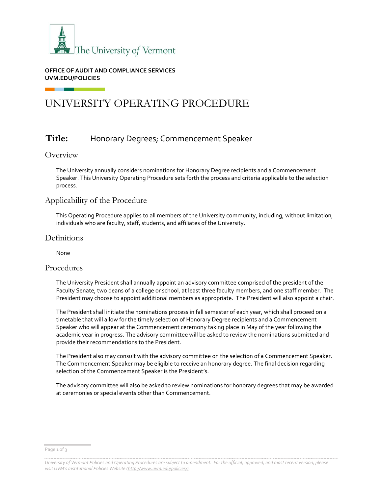

### **OFFICE OF AUDIT AND COMPLIANCE SERVICES UVM.EDU/POLICIES**

# UNIVERSITY OPERATING PROCEDURE

## **Title:** Honorary Degrees; Commencement Speaker

## Overview

The University annually considers nominations for Honorary Degree recipients and a Commencement Speaker. This University Operating Procedure sets forth the process and criteria applicable to the selection process.

## Applicability of the Procedure

This Operating Procedure applies to all members of the University community, including, without limitation, individuals who are faculty, staff, students, and affiliates of the University.

## **Definitions**

None

## Procedures

The University President shall annually appoint an advisory committee comprised of the president of the Faculty Senate, two deans of a college or school, at least three faculty members, and one staff member. The President may choose to appoint additional members as appropriate. The President will also appoint a chair.

The President shall initiate the nominations process in fall semester of each year, which shall proceed on a timetable that will allow for the timely selection of Honorary Degree recipients and a Commencement Speaker who will appear at the Commencement ceremony taking place in May of the year following the academic year in progress. The advisory committee will be asked to review the nominations submitted and provide their recommendations to the President.

The President also may consult with the advisory committee on the selection of a Commencement Speaker. The Commencement Speaker may be eligible to receive an honorary degree. The final decision regarding selection of the Commencement Speaker is the President's.

The advisory committee will also be asked to review nominations for honorary degrees that may be awarded at ceremonies or special events other than Commencement.

Page 1 of 3

*University of Vermont Policies and Operating Procedures are subject to amendment. For the official, approved, and most recent version, please visit UVM's Institutional Policies Website ([http://www.uvm.edu/policies/\).](http://www.uvm.edu/policies/)*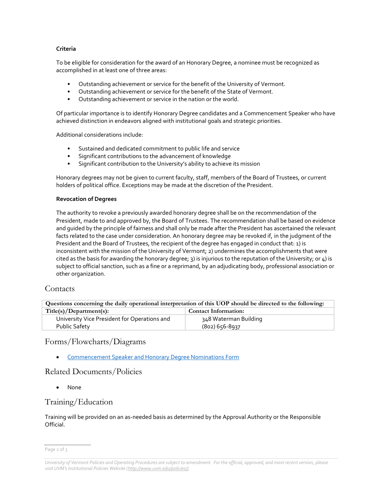#### **Criteria**

To be eligible for consideration for the award of an Honorary Degree, a nominee must be recognized as accomplished in at least one of three areas:

- Outstanding achievement or service for the benefit of the University of Vermont.
- Outstanding achievement or service for the benefit of the State of Vermont.
- Outstanding achievement or service in the nation or the world.

Of particular importance is to identify Honorary Degree candidates and a Commencement Speaker who have achieved distinction in endeavors aligned with institutional goals and strategic priorities.

Additional considerations include:

- Sustained and dedicated commitment to public life and service
- Significant contributions to the advancement of knowledge
- Significant contribution to the University's ability to achieve its mission

Honorary degrees may not be given to current faculty, staff, members of the Board of Trustees, or current holders of political office. Exceptions may be made at the discretion of the President.

#### **Revocation of Degrees**

The authority to revoke a previously awarded honorary degree shall be on the recommendation of the President, made to and approved by, the Board of Trustees. The recommendation shall be based on evidence and guided by the principle of fairness and shall only be made after the President has ascertained the relevant facts related to the case under consideration. An honorary degree may be revoked if, in the judgment of the President and the Board of Trustees, the recipient of the degree has engaged in conduct that: 1) is inconsistent with the mission of the University of Vermont; 2) undermines the accomplishments that were cited as the basis for awarding the honorary degree;  $3$ ) is injurious to the reputation of the University; or  $\Delta$ ) is subject to official sanction, such as a fine or a reprimand, by an adjudicating body, professional association or other organization.

## **Contacts**

| Questions concerning the daily operational interpretation of this UOP should be directed to the following: |                       |  |  |
|------------------------------------------------------------------------------------------------------------|-----------------------|--|--|
| Title(s)/Department(s):<br><b>Contact Information:</b>                                                     |                       |  |  |
| University Vice President for Operations and                                                               | 348 Waterman Building |  |  |
| Public Safety                                                                                              | (802) 656-8937        |  |  |

## Forms/Flowcharts/Diagrams

[Commencement Speaker and Honorary Degree Nominations Form](https://www.uvm.edu/president/honorary-degree-and-commencement-speaker-nominations)

## Related Documents/Policies

None

## Training/Education

Training will be provided on an as-needed basis as determined by the Approval Authority or the Responsible Official.

Page 2 of 3

*University of Vermont Policies and Operating Procedures are subject to amendment. For the official, approved, and most recent version, please visit UVM's Institutional Policies Website ([http://www.uvm.edu/policies/\).](http://www.uvm.edu/policies/)*